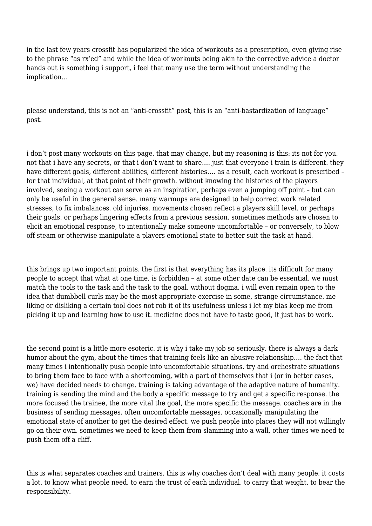in the last few years crossfit has popularized the idea of workouts as a prescription, even giving rise to the phrase "as rx'ed" and while the idea of workouts being akin to the corrective advice a doctor hands out is something i support, i feel that many use the term without understanding the implication…

please understand, this is not an "anti-crossfit" post, this is an "anti-bastardization of language" post.

i don't post many workouts on this page. that may change, but my reasoning is this: its not for you. not that i have any secrets, or that i don't want to share…. just that everyone i train is different. they have different goals, different abilities, different histories…. as a result, each workout is prescribed – for that individual, at that point of their growth. without knowing the histories of the players involved, seeing a workout can serve as an inspiration, perhaps even a jumping off point – but can only be useful in the general sense. many warmups are designed to help correct work related stresses, to fix imbalances. old injuries. movements chosen reflect a players skill level. or perhaps their goals. or perhaps lingering effects from a previous session. sometimes methods are chosen to elicit an emotional response, to intentionally make someone uncomfortable – or conversely, to blow off steam or otherwise manipulate a players emotional state to better suit the task at hand.

this brings up two important points. the first is that everything has its place. its difficult for many people to accept that what at one time, is forbidden – at some other date can be essential. we must match the tools to the task and the task to the goal. without dogma. i will even remain open to the idea that dumbbell curls may be the most appropriate exercise in some, strange circumstance. me liking or disliking a certain tool does not rob it of its usefulness unless i let my bias keep me from picking it up and learning how to use it. medicine does not have to taste good, it just has to work.

the second point is a little more esoteric. it is why i take my job so seriously. there is always a dark humor about the gym, about the times that training feels like an abusive relationship…. the fact that many times i intentionally push people into uncomfortable situations. try and orchestrate situations to bring them face to face with a shortcoming, with a part of themselves that i (or in better cases, we) have decided needs to change. training is taking advantage of the adaptive nature of humanity. training is sending the mind and the body a specific message to try and get a specific response. the more focused the trainee, the more vital the goal, the more specific the message. coaches are in the business of sending messages. often uncomfortable messages. occasionally manipulating the emotional state of another to get the desired effect. we push people into places they will not willingly go on their own. sometimes we need to keep them from slamming into a wall, other times we need to push them off a cliff.

this is what separates coaches and trainers. this is why coaches don't deal with many people. it costs a lot. to know what people need. to earn the trust of each individual. to carry that weight. to bear the responsibility.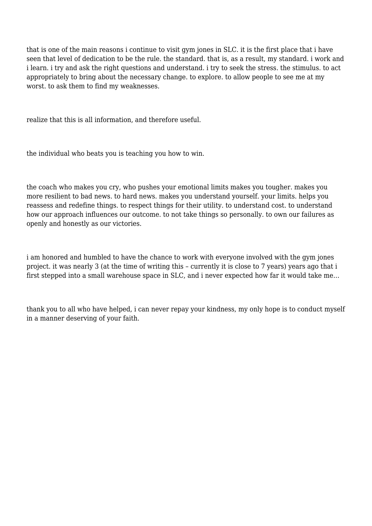that is one of the main reasons i continue to visit gym jones in SLC. it is the first place that i have seen that level of dedication to be the rule. the standard. that is, as a result, my standard. i work and i learn. i try and ask the right questions and understand. i try to seek the stress. the stimulus. to act appropriately to bring about the necessary change. to explore. to allow people to see me at my worst. to ask them to find my weaknesses.

realize that this is all information, and therefore useful.

the individual who beats you is teaching you how to win.

the coach who makes you cry, who pushes your emotional limits makes you tougher. makes you more resilient to bad news. to hard news. makes you understand yourself. your limits. helps you reassess and redefine things. to respect things for their utility. to understand cost. to understand how our approach influences our outcome. to not take things so personally. to own our failures as openly and honestly as our victories.

i am honored and humbled to have the chance to work with everyone involved with the gym jones project. it was nearly 3 (at the time of writing this – currently it is close to 7 years) years ago that i first stepped into a small warehouse space in SLC, and i never expected how far it would take me…

thank you to all who have helped, i can never repay your kindness, my only hope is to conduct myself in a manner deserving of your faith.